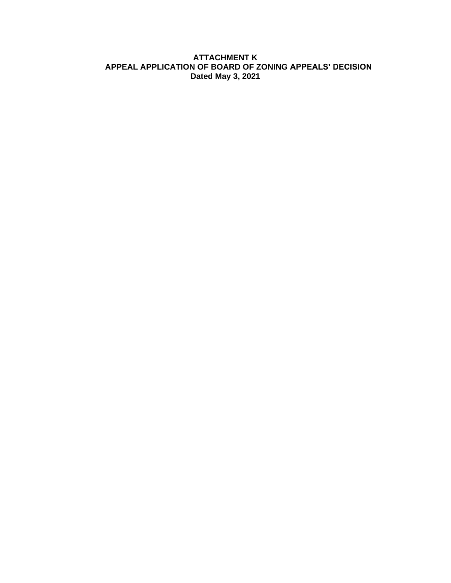## **ATTACHMENT K APPEAL APPLICATION OF BOARD OF ZONING APPEALS' DECISION Dated May 3, 2021**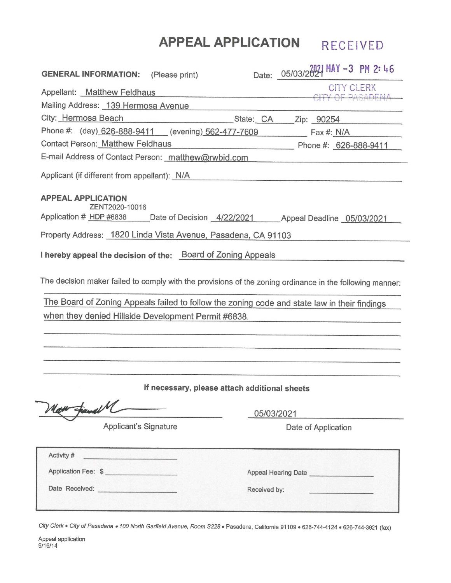# APPEAL APPLICATION RECEIVED

| <b>GENERAL INFORMATION:</b><br>(Please print)                                                                                                                                                            |                                               | Date: 05/03/2021 MAY -3 PM 2: 46 |
|----------------------------------------------------------------------------------------------------------------------------------------------------------------------------------------------------------|-----------------------------------------------|----------------------------------|
| Appellant: Matthew Feldhaus                                                                                                                                                                              |                                               | <b>CITY CLERK</b><br>NE DAQADEMA |
| Mailing Address: 139 Hermosa Avenue                                                                                                                                                                      |                                               |                                  |
| City: Hermosa Beach                                                                                                                                                                                      | State: CA Zip: 90254                          |                                  |
| Phone #: (day) 626-888-9411 (evening) 562-477-7609                                                                                                                                                       |                                               | $\overline{Fax \#: N/A}$         |
| <b>Contact Person: Matthew Feldhaus</b>                                                                                                                                                                  |                                               | Phone #: 626-888-9411            |
| E-mail Address of Contact Person: matthew@rwbid.com                                                                                                                                                      |                                               |                                  |
| Applicant (if different from appellant): N/A                                                                                                                                                             |                                               |                                  |
| <b>APPEAL APPLICATION</b>                                                                                                                                                                                |                                               |                                  |
| ZENT2020-10016<br>Application # HDP #6838 Date of Decision 4/22/2021 Appeal Deadline 05/03/2021                                                                                                          |                                               |                                  |
| Property Address: 1820 Linda Vista Avenue, Pasadena, CA 91103                                                                                                                                            |                                               |                                  |
| I hereby appeal the decision of the: Board of Zoning Appeals                                                                                                                                             |                                               |                                  |
| The decision maker failed to comply with the provisions of the zoning ordinance in the following manner:<br>The Board of Zoning Appeals failed to follow the zoning code and state law in their findings |                                               |                                  |
| when they denied Hillside Development Permit #6838.                                                                                                                                                      |                                               |                                  |
|                                                                                                                                                                                                          |                                               |                                  |
|                                                                                                                                                                                                          |                                               |                                  |
|                                                                                                                                                                                                          | If necessary, please attach additional sheets |                                  |
| an Fanal M                                                                                                                                                                                               | 05/03/2021                                    |                                  |
| <b>Applicant's Signature</b>                                                                                                                                                                             |                                               | Date of Application              |
| Activity #<br><u> 1999 - Joseph Johnson, primar politik</u>                                                                                                                                              |                                               |                                  |
| Application Fee: \$                                                                                                                                                                                      |                                               | Appeal Hearing Date              |
|                                                                                                                                                                                                          | Received by:                                  |                                  |
|                                                                                                                                                                                                          |                                               |                                  |

City Clerk • City of Pasadena • 100 North Garfield Avenue, Room S228 • Pasadena, California 91109 • 626-744-4124 • 626-744-3921 (fax)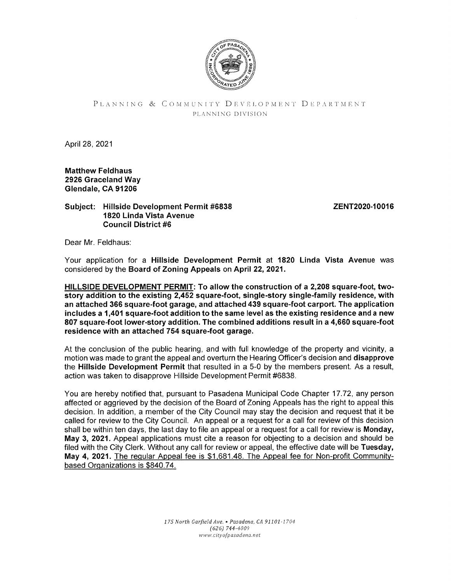

## PLANNING & COMMUNITY DEVELOPMENT DEPARTMENT PLANNING DIVISION

April 28, 2021

Matthew Feldhaus 2926 Graceland Way Glendale, CA 91206

### Subject: Hillside Development Permit #6838 1820 Linda Vista Avenue Council District #6

ZENT2020-10016

Dear Mr. Feldhaus:

Your application for a Hillside Development Permit at 1820 Linda Vista Avenue was considered by the Board of Zoning Appeals on April 22, 2021.

HILLSIDE DEVELOPMENT PERMIT: To allow the construction of a 2,208 square-foot, twostory addition to the existing 2,452 square-foot, single-story single-family residence, with an attached 366 square-foot garage, and attached 439 square-foot carport. The application includes a 1,401 square-foot addition to the same level as the existing residence and a new 807 square-foot lower-story addition. The combined additions result in a 4,660 square-foot residence with an attached 754 square-foot garage.

At the conclusion of the public hearing, and with full knowledge of the property and vicinity, a motion was made to grant the appeal and overturn the Hearing Officer's decision and disapprove the Hillside Development Permit that resulted in a 5-0 by the members present. As a result, action was taken to disapprove Hillside Development Permit #6838.

You are hereby notified that, pursuant to Pasadena Municipal Code Chapter 17.72, any person affected or aggrieved by the decision of the Board of Zoning Appeals has the right to appeal this decision. In addition, a member of the City Council may stay the decision and request that it be called for review to the City Council. An appeal or a request for a call for review of this decision shall be within ten days, the last day to file an appeal or a request for a call for review is Monday, May 3, 2021. Appeal applications must cite a reason for objecting to a decision and should be filed with the City Clerk. Without any call for review or appeal, the effective date will be Tuesday, May 4, 2021. The regular Appeal fee is \$1,681.48. The Appeal fee for Non-profit Communitybased Organizations is \$840.74.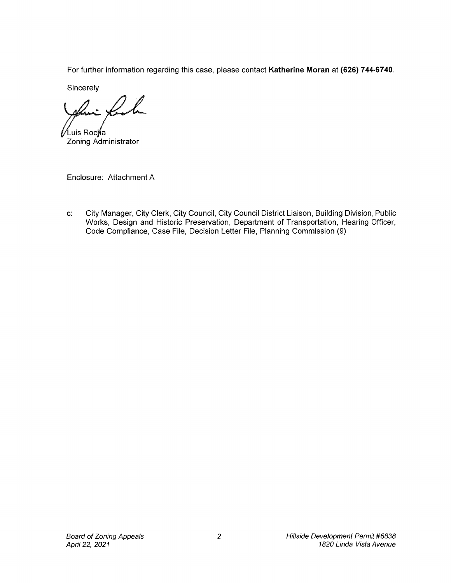For further information regarding this case, please contact Katherine Moran at (626) 744-6740.

Sincerely,

 $\cup$ ∕Luis Roc**∲**a

Zoning Administrator

Enclosure: Attachment A

c: City Manager, City Clerk, City Council, City Council District Liaison, Building Division, Public Works, Design and Historic Preservation, Department of Transportation, Hearing Officer, Code Compliance, Case File, Decision Letter File, Planning Commission (9)